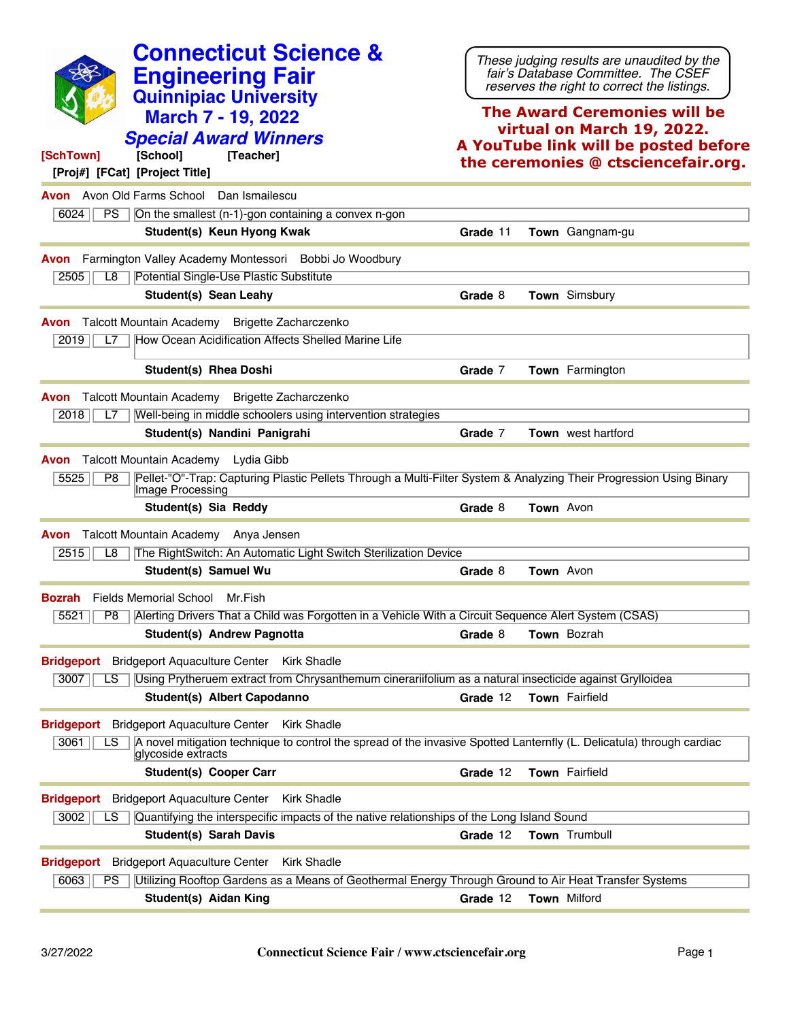| <b>Connecticut Science &amp;</b><br><b>Engineering Fair</b><br><b>Quinnipiac University</b><br><b>March 7 - 19, 2022</b><br><b>Special Award Winners</b><br>[SchTown]<br>[School]<br>[Teacher]<br>[Proj#] [FCat] [Project Title] | These judging results are unaudited by the<br>fair's Database Committee. The CSEF<br>reserves the right to correct the listings.<br><b>The Award Ceremonies will be</b><br>virtual on March 19, 2022.<br>A YouTube link will be posted before<br>the ceremonies @ ctsciencefair.org. |
|----------------------------------------------------------------------------------------------------------------------------------------------------------------------------------------------------------------------------------|--------------------------------------------------------------------------------------------------------------------------------------------------------------------------------------------------------------------------------------------------------------------------------------|
| <b>Avon</b> Avon Old Farms School Dan Ismailescu                                                                                                                                                                                 |                                                                                                                                                                                                                                                                                      |
| On the smallest (n-1)-gon containing a convex n-gon<br>6024<br>PS.                                                                                                                                                               |                                                                                                                                                                                                                                                                                      |
| Student(s) Keun Hyong Kwak                                                                                                                                                                                                       | Grade 11<br>Town Gangnam-gu                                                                                                                                                                                                                                                          |
| Farmington Valley Academy Montessori Bobbi Jo Woodbury<br>Avon                                                                                                                                                                   |                                                                                                                                                                                                                                                                                      |
| 2505<br>Potential Single-Use Plastic Substitute<br>L8                                                                                                                                                                            |                                                                                                                                                                                                                                                                                      |
| Student(s) Sean Leahy                                                                                                                                                                                                            | <b>Town</b> Simsbury<br>Grade 8                                                                                                                                                                                                                                                      |
| Talcott Mountain Academy Brigette Zacharczenko<br>Avon<br>How Ocean Acidification Affects Shelled Marine Life<br>2019<br>L7                                                                                                      |                                                                                                                                                                                                                                                                                      |
| <b>Student(s) Rhea Doshi</b>                                                                                                                                                                                                     | Grade 7<br><b>Town</b> Farmington                                                                                                                                                                                                                                                    |
| Talcott Mountain Academy<br><b>Brigette Zacharczenko</b><br>Avon                                                                                                                                                                 |                                                                                                                                                                                                                                                                                      |
| Well-being in middle schoolers using intervention strategies<br>2018<br>L7                                                                                                                                                       |                                                                                                                                                                                                                                                                                      |
| Student(s) Nandini Panigrahi                                                                                                                                                                                                     | Grade 7<br><b>Town</b> west hartford                                                                                                                                                                                                                                                 |
| Talcott Mountain Academy Lydia Gibb<br>Avon                                                                                                                                                                                      |                                                                                                                                                                                                                                                                                      |
| 5525<br>P8<br>Image Processing                                                                                                                                                                                                   | Pellet-"O"-Trap: Capturing Plastic Pellets Through a Multi-Filter System & Analyzing Their Progression Using Binary                                                                                                                                                                  |
| Student(s) Sia Reddy                                                                                                                                                                                                             | Town Avon<br>Grade 8                                                                                                                                                                                                                                                                 |
| Talcott Mountain Academy Anya Jensen<br>Avon                                                                                                                                                                                     |                                                                                                                                                                                                                                                                                      |
| The RightSwitch: An Automatic Light Switch Sterilization Device<br>2515<br>L8                                                                                                                                                    |                                                                                                                                                                                                                                                                                      |
| Student(s) Samuel Wu                                                                                                                                                                                                             | <b>Town</b> Avon<br>Grade 8                                                                                                                                                                                                                                                          |
| <b>Bozrah</b> Fields Memorial School Mr. Fish                                                                                                                                                                                    |                                                                                                                                                                                                                                                                                      |
| 5521   P8   Alerting Drivers That a Child was Forgotten in a Vehicle With a Circuit Sequence Alert System (CSAS)                                                                                                                 |                                                                                                                                                                                                                                                                                      |
| Student(s) Andrew Pagnotta                                                                                                                                                                                                       | Grade 8<br>Town Bozrah                                                                                                                                                                                                                                                               |
| <b>Bridgeport</b> Bridgeport Aquaculture Center<br><b>Kirk Shadle</b><br>3007<br>Using Prytheruem extract from Chrysanthemum cinerariifolium as a natural insecticide against Grylloidea<br>LS.                                  |                                                                                                                                                                                                                                                                                      |
| Student(s) Albert Capodanno                                                                                                                                                                                                      | <b>Town</b> Fairfield<br>Grade 12                                                                                                                                                                                                                                                    |
| Bridgeport Bridgeport Aquaculture Center Kirk Shadle                                                                                                                                                                             |                                                                                                                                                                                                                                                                                      |
| 3061<br>LS.<br>glycoside extracts                                                                                                                                                                                                | A novel mitigation technique to control the spread of the invasive Spotted Lanternfly (L. Delicatula) through cardiac                                                                                                                                                                |
| <b>Student(s) Cooper Carr</b>                                                                                                                                                                                                    | Grade 12<br>Town Fairfield                                                                                                                                                                                                                                                           |
| <b>Bridgeport</b> Bridgeport Aquaculture Center<br><b>Kirk Shadle</b>                                                                                                                                                            |                                                                                                                                                                                                                                                                                      |
| Quantifying the interspecific impacts of the native relationships of the Long Island Sound<br>3002<br>LS.                                                                                                                        |                                                                                                                                                                                                                                                                                      |
| <b>Student(s) Sarah Davis</b>                                                                                                                                                                                                    | Grade 12<br><b>Town</b> Trumbull                                                                                                                                                                                                                                                     |
| <b>Bridgeport</b> Bridgeport Aquaculture Center<br><b>Kirk Shadle</b>                                                                                                                                                            |                                                                                                                                                                                                                                                                                      |
| Utilizing Rooftop Gardens as a Means of Geothermal Energy Through Ground to Air Heat Transfer Systems<br>6063<br>PS                                                                                                              |                                                                                                                                                                                                                                                                                      |
| Student(s) Aidan King                                                                                                                                                                                                            | Town Milford<br>Grade 12                                                                                                                                                                                                                                                             |
|                                                                                                                                                                                                                                  |                                                                                                                                                                                                                                                                                      |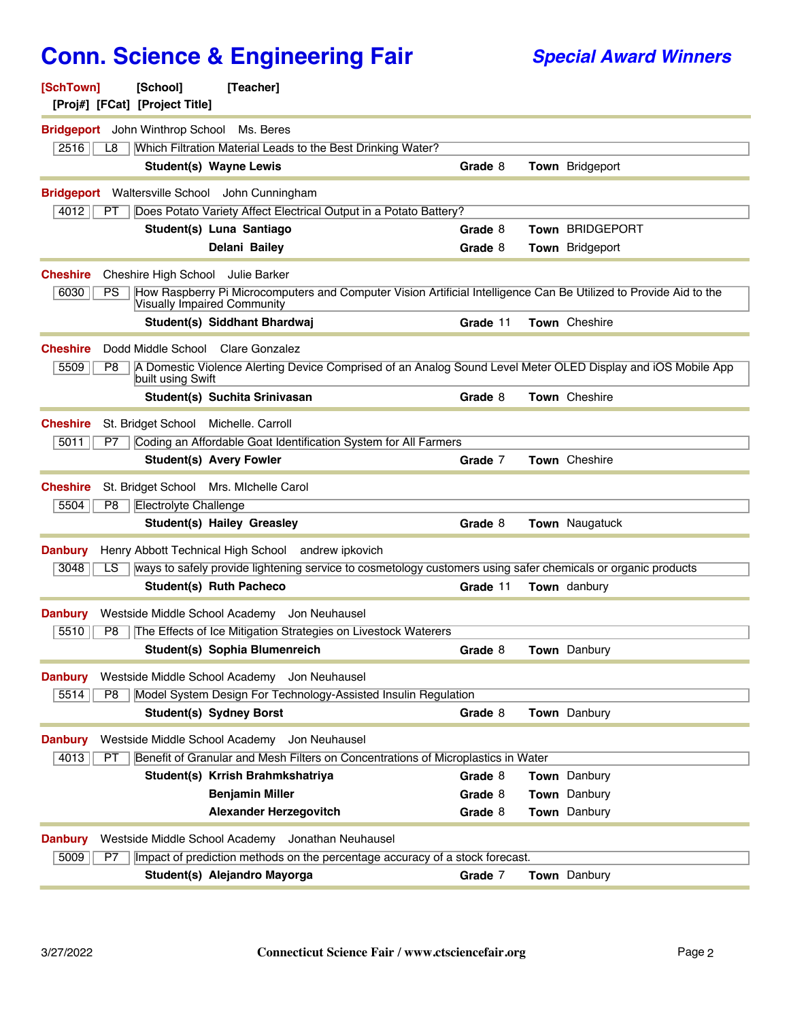| [SchTown]<br>[Proj#] [FCat] [Project Title]      | [School]              | [Teacher]                                                                                                                                               |          |                        |
|--------------------------------------------------|-----------------------|---------------------------------------------------------------------------------------------------------------------------------------------------------|----------|------------------------|
| <b>Bridgeport</b> John Winthrop School Ms. Beres |                       |                                                                                                                                                         |          |                        |
| 2516<br>L8                                       |                       | Which Filtration Material Leads to the Best Drinking Water?                                                                                             |          |                        |
|                                                  |                       | <b>Student(s) Wayne Lewis</b>                                                                                                                           | Grade 8  | Town Bridgeport        |
|                                                  |                       | Bridgeport Waltersville School John Cunningham                                                                                                          |          |                        |
| 4012<br>РT                                       |                       | Does Potato Variety Affect Electrical Output in a Potato Battery?                                                                                       |          |                        |
|                                                  |                       | Student(s) Luna Santiago                                                                                                                                | Grade 8  | <b>Town BRIDGEPORT</b> |
|                                                  |                       | Delani Bailey                                                                                                                                           | Grade 8  | Town Bridgeport        |
| <b>Cheshire</b>                                  |                       | Cheshire High School Julie Barker                                                                                                                       |          |                        |
| 6030<br>PS                                       |                       | How Raspberry Pi Microcomputers and Computer Vision Artificial Intelligence Can Be Utilized to Provide Aid to the<br><b>Visually Impaired Community</b> |          |                        |
|                                                  |                       | Student(s) Siddhant Bhardwaj                                                                                                                            | Grade 11 | Town Cheshire          |
| <b>Cheshire</b>                                  |                       | Dodd Middle School Clare Gonzalez                                                                                                                       |          |                        |
| 5509<br>P8                                       | built using Swift     | A Domestic Violence Alerting Device Comprised of an Analog Sound Level Meter OLED Display and iOS Mobile App                                            |          |                        |
|                                                  |                       | Student(s) Suchita Srinivasan                                                                                                                           | Grade 8  | Town Cheshire          |
| <b>Cheshire</b>                                  |                       | St. Bridget School Michelle. Carroll                                                                                                                    |          |                        |
| 5011<br>P7                                       |                       | Coding an Affordable Goat Identification System for All Farmers                                                                                         |          |                        |
|                                                  |                       | <b>Student(s) Avery Fowler</b>                                                                                                                          | Grade 7  | Town Cheshire          |
| <b>Cheshire</b>                                  |                       | St. Bridget School Mrs. MIchelle Carol                                                                                                                  |          |                        |
| 5504<br>P8                                       | Electrolyte Challenge |                                                                                                                                                         |          |                        |
|                                                  |                       | <b>Student(s) Hailey Greasley</b>                                                                                                                       | Grade 8  | <b>Town</b> Naugatuck  |
| <b>Danbury</b>                                   |                       | Henry Abbott Technical High School andrew ipkovich                                                                                                      |          |                        |
| 3048<br>LS                                       |                       | ways to safely provide lightening service to cosmetology customers using safer chemicals or organic products                                            |          |                        |
|                                                  |                       | <b>Student(s) Ruth Pacheco</b>                                                                                                                          | Grade 11 | Town danbury           |
| <b>Danbury</b>                                   |                       | Westside Middle School Academy Jon Neuhausel                                                                                                            |          |                        |
| 5510<br>P <sub>8</sub>                           |                       | The Effects of Ice Mitigation Strategies on Livestock Waterers                                                                                          |          |                        |
|                                                  |                       | Student(s) Sophia Blumenreich                                                                                                                           | Grade 8  | <b>Town</b> Danbury    |
| <b>Danbury</b>                                   |                       | Westside Middle School Academy<br>Jon Neuhausel                                                                                                         |          |                        |
| 5514<br>P8                                       |                       | Model System Design For Technology-Assisted Insulin Regulation                                                                                          |          |                        |
|                                                  |                       | <b>Student(s) Sydney Borst</b>                                                                                                                          | Grade 8  | Town Danbury           |
| <b>Danbury</b>                                   |                       | Westside Middle School Academy<br>Jon Neuhausel                                                                                                         |          |                        |
| 4013<br>PT                                       |                       | Benefit of Granular and Mesh Filters on Concentrations of Microplastics in Water                                                                        |          |                        |
|                                                  |                       | Student(s) Krrish Brahmkshatriya                                                                                                                        | Grade 8  | Town Danbury           |
|                                                  |                       | <b>Benjamin Miller</b>                                                                                                                                  | Grade 8  | Town Danbury           |
|                                                  |                       | <b>Alexander Herzegovitch</b>                                                                                                                           | Grade 8  | Town Danbury           |
| <b>Danbury</b>                                   |                       | Westside Middle School Academy Jonathan Neuhausel                                                                                                       |          |                        |
| 5009<br>P7                                       |                       | Impact of prediction methods on the percentage accuracy of a stock forecast.                                                                            |          |                        |
|                                                  |                       | Student(s) Alejandro Mayorga                                                                                                                            | Grade 7  | Town Danbury           |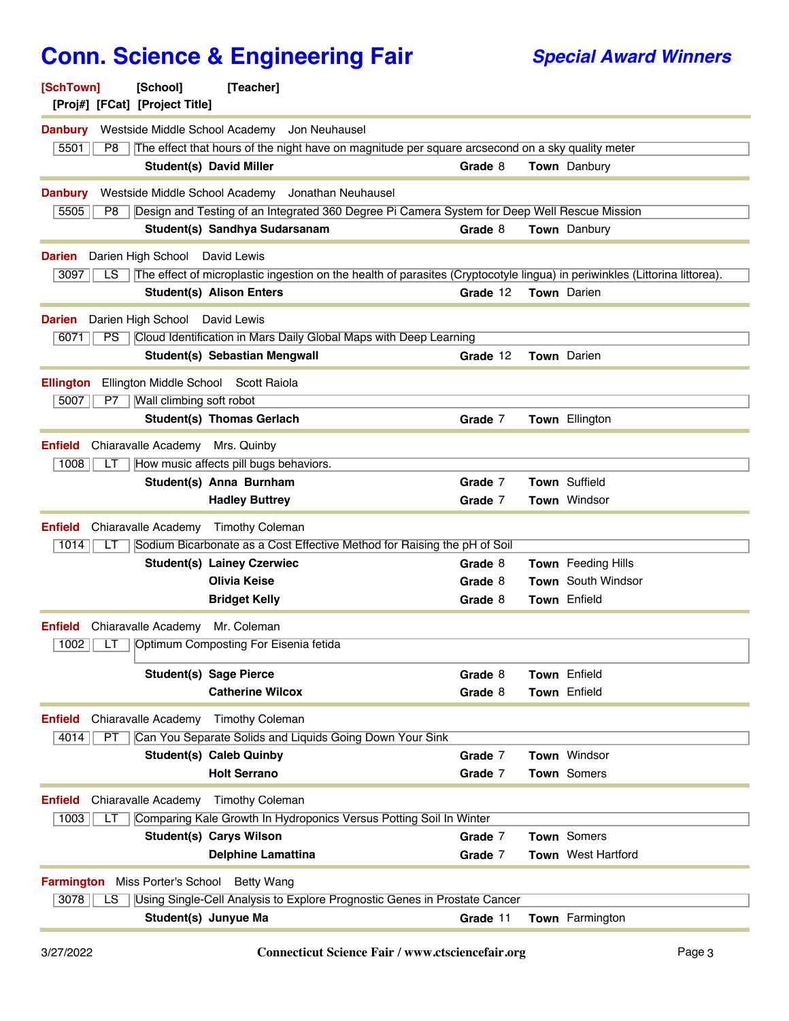## **Conn. Science & Engineering Fair Special Award Winners**

| [SchTown]<br>[Proj#] [FCat] [Project Title]       | [School]                       | [Teacher]                              |                                                                                                  |          |                                                                                                                            |
|---------------------------------------------------|--------------------------------|----------------------------------------|--------------------------------------------------------------------------------------------------|----------|----------------------------------------------------------------------------------------------------------------------------|
| <b>Danbury</b>                                    |                                |                                        | Westside Middle School Academy Jon Neuhausel                                                     |          |                                                                                                                            |
| 5501<br>P8                                        |                                |                                        | The effect that hours of the night have on magnitude per square arcsecond on a sky quality meter |          |                                                                                                                            |
|                                                   |                                | <b>Student(s) David Miller</b>         |                                                                                                  | Grade 8  | <b>Town</b> Danbury                                                                                                        |
| <b>Danbury</b>                                    |                                |                                        | Westside Middle School Academy Jonathan Neuhausel                                                |          |                                                                                                                            |
| 5505<br>P8                                        |                                |                                        | Design and Testing of an Integrated 360 Degree Pi Camera System for Deep Well Rescue Mission     |          |                                                                                                                            |
|                                                   |                                | Student(s) Sandhya Sudarsanam          |                                                                                                  | Grade 8  | Town Danbury                                                                                                               |
| <b>Darien</b>                                     | Darien High School David Lewis |                                        |                                                                                                  |          |                                                                                                                            |
| 3097<br>LS                                        |                                |                                        |                                                                                                  |          | The effect of microplastic ingestion on the health of parasites (Cryptocotyle lingua) in periwinkles (Littorina littorea). |
|                                                   |                                | <b>Student(s) Alison Enters</b>        |                                                                                                  | Grade 12 | Town Darien                                                                                                                |
| <b>Darien</b>                                     | Darien High School David Lewis |                                        |                                                                                                  |          |                                                                                                                            |
| PS<br>6071                                        |                                |                                        | Cloud Identification in Mars Daily Global Maps with Deep Learning                                |          |                                                                                                                            |
|                                                   |                                | Student(s) Sebastian Mengwall          |                                                                                                  | Grade 12 | <b>Town</b> Darien                                                                                                         |
| <b>Ellington</b>                                  |                                | Ellington Middle School Scott Raiola   |                                                                                                  |          |                                                                                                                            |
| 5007<br>P7                                        | Wall climbing soft robot       |                                        |                                                                                                  |          |                                                                                                                            |
|                                                   |                                | <b>Student(s) Thomas Gerlach</b>       |                                                                                                  | Grade 7  | Town Ellington                                                                                                             |
| <b>Enfield</b>                                    |                                | Chiaravalle Academy Mrs. Quinby        |                                                                                                  |          |                                                                                                                            |
| 1008<br>LТ                                        |                                | How music affects pill bugs behaviors. |                                                                                                  |          |                                                                                                                            |
|                                                   |                                | Student(s) Anna Burnham                |                                                                                                  | Grade 7  | Town Suffield                                                                                                              |
|                                                   |                                | <b>Hadley Buttrey</b>                  |                                                                                                  | Grade 7  | Town Windsor                                                                                                               |
| <b>Enfield</b>                                    | Chiaravalle Academy            | <b>Timothy Coleman</b>                 |                                                                                                  |          |                                                                                                                            |
| 1014<br>LТ                                        |                                |                                        | Sodium Bicarbonate as a Cost Effective Method for Raising the pH of Soil                         |          |                                                                                                                            |
|                                                   |                                | <b>Student(s) Lainey Czerwiec</b>      |                                                                                                  | Grade 8  | Town Feeding Hills                                                                                                         |
|                                                   |                                | <b>Olivia Keise</b>                    |                                                                                                  | Grade 8  | <b>Town</b> South Windsor                                                                                                  |
|                                                   |                                | <b>Bridget Kelly</b>                   |                                                                                                  | Grade 8  | Town Enfield                                                                                                               |
| <b>Enfield</b>                                    | Chiaravalle Academy            | Mr. Coleman                            |                                                                                                  |          |                                                                                                                            |
| 1002<br>LT                                        |                                | Optimum Composting For Eisenia fetida  |                                                                                                  |          |                                                                                                                            |
|                                                   |                                | <b>Student(s) Sage Pierce</b>          |                                                                                                  | Grade 8  | Town Enfield                                                                                                               |
|                                                   |                                | <b>Catherine Wilcox</b>                |                                                                                                  | Grade 8  | Town Enfield                                                                                                               |
| <b>Enfield</b>                                    | Chiaravalle Academy            | <b>Timothy Coleman</b>                 |                                                                                                  |          |                                                                                                                            |
| 4014<br>PT                                        |                                |                                        | Can You Separate Solids and Liquids Going Down Your Sink                                         |          |                                                                                                                            |
|                                                   |                                | <b>Student(s) Caleb Quinby</b>         |                                                                                                  | Grade 7  | Town Windsor                                                                                                               |
|                                                   |                                | <b>Holt Serrano</b>                    |                                                                                                  | Grade 7  | Town Somers                                                                                                                |
| <b>Enfield</b>                                    | Chiaravalle Academy            | <b>Timothy Coleman</b>                 |                                                                                                  |          |                                                                                                                            |
| 1003<br>LТ                                        |                                |                                        | Comparing Kale Growth In Hydroponics Versus Potting Soil In Winter                               |          |                                                                                                                            |
|                                                   |                                | <b>Student(s) Carys Wilson</b>         |                                                                                                  | Grade 7  | Town Somers                                                                                                                |
|                                                   |                                | <b>Delphine Lamattina</b>              |                                                                                                  | Grade 7  | Town West Hartford                                                                                                         |
| <b>Farmington</b> Miss Porter's School Betty Wang |                                |                                        |                                                                                                  |          |                                                                                                                            |
| 3078<br>LS                                        |                                |                                        | Using Single-Cell Analysis to Explore Prognostic Genes in Prostate Cancer                        |          |                                                                                                                            |
|                                                   |                                | Student(s) Junyue Ma                   |                                                                                                  | Grade 11 | Town Farmington                                                                                                            |
|                                                   |                                |                                        |                                                                                                  |          |                                                                                                                            |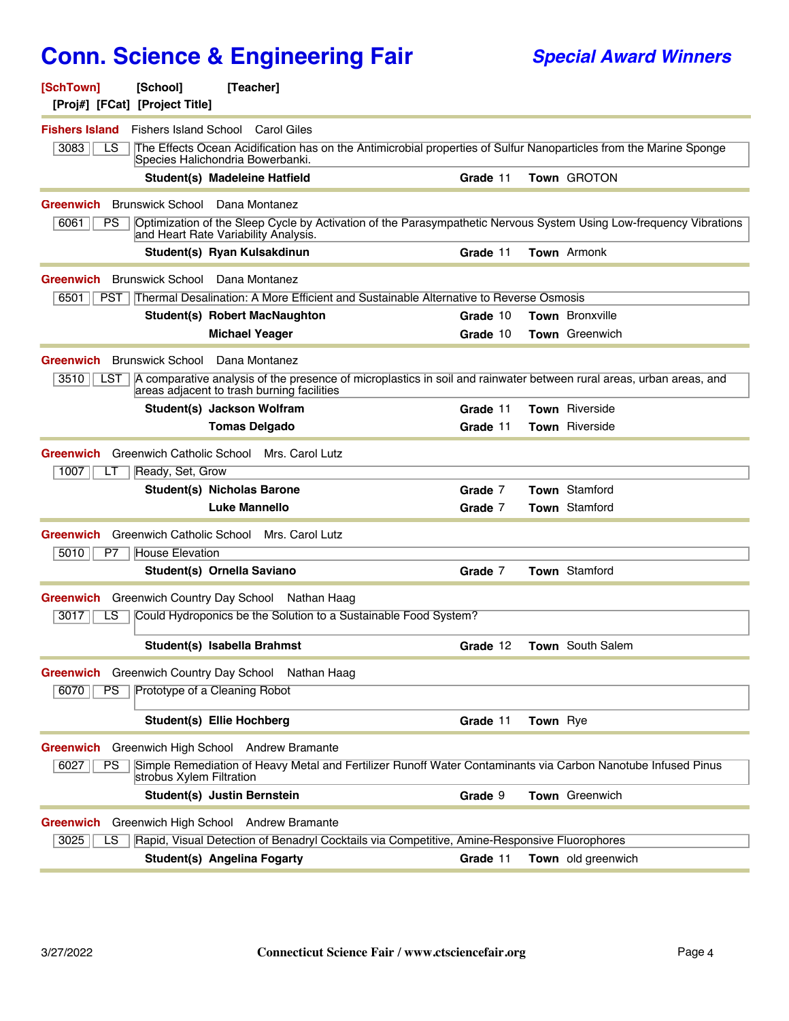| [SchTown]<br>[Proj#] [FCat] [Project Title] | [School]                     | [Teacher]                                                                                                                                                         |          |          |                       |
|---------------------------------------------|------------------------------|-------------------------------------------------------------------------------------------------------------------------------------------------------------------|----------|----------|-----------------------|
| <b>Fishers Island</b>                       | <b>Fishers Island School</b> | Carol Giles                                                                                                                                                       |          |          |                       |
| 3083<br>LS                                  |                              | The Effects Ocean Acidification has on the Antimicrobial properties of Sulfur Nanoparticles from the Marine Sponge<br>Species Halichondria Bowerbanki.            |          |          |                       |
|                                             |                              | Student(s) Madeleine Hatfield                                                                                                                                     | Grade 11 |          | Town GROTON           |
| Greenwich                                   | <b>Brunswick School</b>      | Dana Montanez                                                                                                                                                     |          |          |                       |
| 6061<br>PS                                  |                              | Optimization of the Sleep Cycle by Activation of the Parasympathetic Nervous System Using Low-frequency Vibrations<br>and Heart Rate Variability Analysis.        |          |          |                       |
|                                             |                              | Student(s) Ryan Kulsakdinun                                                                                                                                       | Grade 11 |          | Town Armonk           |
| Greenwich                                   | <b>Brunswick School</b>      | Dana Montanez                                                                                                                                                     |          |          |                       |
| 6501  <br>PST                               |                              | Thermal Desalination: A More Efficient and Sustainable Alternative to Reverse Osmosis                                                                             |          |          |                       |
|                                             |                              | <b>Student(s) Robert MacNaughton</b>                                                                                                                              | Grade 10 |          | Town Bronxville       |
|                                             |                              | <b>Michael Yeager</b>                                                                                                                                             | Grade 10 |          | <b>Town</b> Greenwich |
| Greenwich                                   | <b>Brunswick School</b>      | Dana Montanez                                                                                                                                                     |          |          |                       |
| 3510<br>LST                                 |                              | A comparative analysis of the presence of microplastics in soil and rainwater between rural areas, urban areas, and<br>areas adjacent to trash burning facilities |          |          |                       |
|                                             |                              | Student(s) Jackson Wolfram                                                                                                                                        | Grade 11 |          | Town Riverside        |
|                                             |                              | <b>Tomas Delgado</b>                                                                                                                                              | Grade 11 |          | Town Riverside        |
| Greenwich<br>1007<br>LІ                     | Ready, Set, Grow             | Greenwich Catholic School Mrs. Carol Lutz                                                                                                                         |          |          |                       |
|                                             |                              | <b>Student(s) Nicholas Barone</b>                                                                                                                                 | Grade 7  |          | Town Stamford         |
|                                             |                              | <b>Luke Mannello</b>                                                                                                                                              | Grade 7  |          | Town Stamford         |
| Greenwich                                   |                              | Greenwich Catholic School Mrs. Carol Lutz                                                                                                                         |          |          |                       |
| 5010<br>P7                                  | <b>House Elevation</b>       |                                                                                                                                                                   |          |          |                       |
|                                             |                              | Student(s) Ornella Saviano                                                                                                                                        | Grade 7  |          | Town Stamford         |
| Greenwich                                   |                              | Greenwich Country Day School Nathan Haag                                                                                                                          |          |          |                       |
| 3017<br>LS                                  |                              | Could Hydroponics be the Solution to a Sustainable Food System?                                                                                                   |          |          |                       |
|                                             |                              |                                                                                                                                                                   |          |          |                       |
|                                             |                              | Student(s) Isabella Brahmst                                                                                                                                       | Grade 12 |          | Town South Salem      |
| Greenwich Greenwich Country Day School      |                              | Nathan Haag                                                                                                                                                       |          |          |                       |
| 6070<br>PS                                  |                              | Prototype of a Cleaning Robot                                                                                                                                     |          |          |                       |
|                                             |                              | <b>Student(s) Ellie Hochberg</b>                                                                                                                                  | Grade 11 | Town Rye |                       |
| <b>Greenwich</b>                            |                              | Greenwich High School Andrew Bramante                                                                                                                             |          |          |                       |
| 6027<br><b>PS</b>                           | strobus Xylem Filtration     | Simple Remediation of Heavy Metal and Fertilizer Runoff Water Contaminants via Carbon Nanotube Infused Pinus                                                      |          |          |                       |
|                                             |                              | Student(s) Justin Bernstein                                                                                                                                       | Grade 9  |          | Town Greenwich        |
| <b>Greenwich</b>                            |                              | Greenwich High School Andrew Bramante                                                                                                                             |          |          |                       |
| 3025<br>LS                                  |                              | Rapid, Visual Detection of Benadryl Cocktails via Competitive, Amine-Responsive Fluorophores                                                                      |          |          |                       |
|                                             |                              | <b>Student(s) Angelina Fogarty</b>                                                                                                                                | Grade 11 |          | Town old greenwich    |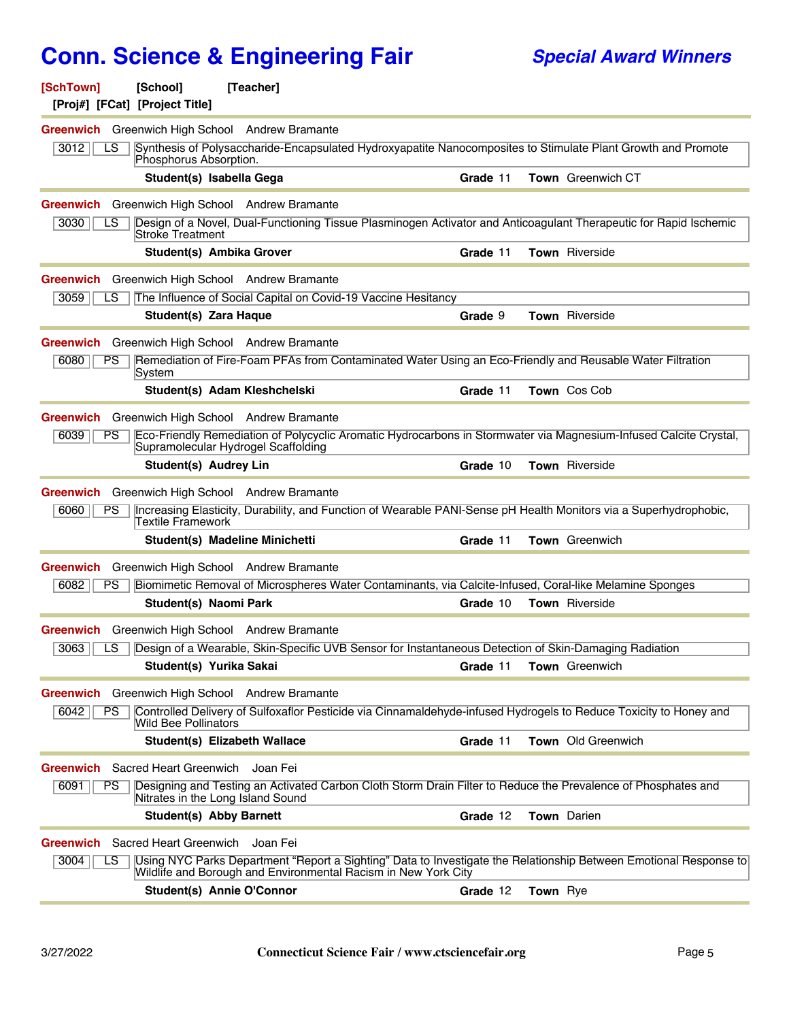| [SchTown]                                                            | [School]<br>[Proj#] [FCat] [Project Title] | [Teacher]                      |                                                                |          |          |                                                                                                                   |
|----------------------------------------------------------------------|--------------------------------------------|--------------------------------|----------------------------------------------------------------|----------|----------|-------------------------------------------------------------------------------------------------------------------|
| <b>Greenwich</b> Greenwich High School Andrew Bramante               |                                            |                                |                                                                |          |          |                                                                                                                   |
| 3012<br>LS                                                           | Phosphorus Absorption.                     |                                |                                                                |          |          | Synthesis of Polysaccharide-Encapsulated Hydroxyapatite Nanocomposites to Stimulate Plant Growth and Promote      |
|                                                                      | Student(s) Isabella Gega                   |                                |                                                                | Grade 11 |          | <b>Town</b> Greenwich CT                                                                                          |
| <b>Greenwich</b> Greenwich High School Andrew Bramante<br>3030<br>LS |                                            |                                |                                                                |          |          | Design of a Novel, Dual-Functioning Tissue Plasminogen Activator and Anticoagulant Therapeutic for Rapid Ischemic |
|                                                                      | <b>Stroke Treatment</b>                    |                                |                                                                |          |          |                                                                                                                   |
|                                                                      | <b>Student(s) Ambika Grover</b>            |                                |                                                                | Grade 11 |          | Town Riverside                                                                                                    |
| Greenwich                                                            | Greenwich High School Andrew Bramante      |                                |                                                                |          |          |                                                                                                                   |
| 3059<br>LS                                                           |                                            |                                | The Influence of Social Capital on Covid-19 Vaccine Hesitancy  |          |          |                                                                                                                   |
|                                                                      | Student(s) Zara Haque                      |                                |                                                                | Grade 9  |          | Town Riverside                                                                                                    |
| Greenwich Greenwich High School Andrew Bramante                      |                                            |                                |                                                                |          |          |                                                                                                                   |
| 6080<br>PS                                                           | ∣System                                    |                                |                                                                |          |          | Remediation of Fire-Foam PFAs from Contaminated Water Using an Eco-Friendly and Reusable Water Filtration         |
|                                                                      |                                            | Student(s) Adam Kleshchelski   |                                                                | Grade 11 |          | Town Cos Cob                                                                                                      |
| Greenwich Greenwich High School Andrew Bramante                      |                                            |                                |                                                                |          |          |                                                                                                                   |
| 6039<br>PS                                                           | Supramolecular Hydrogel Scaffolding        |                                |                                                                |          |          | Eco-Friendly Remediation of Polycyclic Aromatic Hydrocarbons in Stormwater via Magnesium-Infused Calcite Crystal, |
|                                                                      | Student(s) Audrey Lin                      |                                |                                                                | Grade 10 |          | Town Riverside                                                                                                    |
| <b>Greenwich</b> Greenwich High School Andrew Bramante               |                                            |                                |                                                                |          |          |                                                                                                                   |
| 6060<br>PS                                                           | Textile Framework                          |                                |                                                                |          |          | Increasing Elasticity, Durability, and Function of Wearable PANI-Sense pH Health Monitors via a Superhydrophobic, |
|                                                                      |                                            | Student(s) Madeline Minichetti |                                                                | Grade 11 |          | Town Greenwich                                                                                                    |
| <b>Greenwich</b> Greenwich High School Andrew Bramante               |                                            |                                |                                                                |          |          |                                                                                                                   |
| 6082<br><b>PS</b>                                                    |                                            |                                |                                                                |          |          | Biomimetic Removal of Microspheres Water Contaminants, via Calcite-Infused, Coral-like Melamine Sponges           |
|                                                                      | <b>Student(s) Naomi Park</b>               |                                |                                                                | Grade 10 |          | Town Riverside                                                                                                    |
| Greenwich                                                            | Greenwich High School Andrew Bramante      |                                |                                                                |          |          |                                                                                                                   |
| 3063<br>LS                                                           |                                            |                                |                                                                |          |          | Design of a Wearable, Skin-Specific UVB Sensor for Instantaneous Detection of Skin-Damaging Radiation             |
|                                                                      | Student(s) Yurika Sakai                    |                                |                                                                | Grade 11 |          | <b>Town</b> Greenwich                                                                                             |
| Greenwich                                                            | Greenwich High School Andrew Bramante      |                                |                                                                |          |          |                                                                                                                   |
| 6042<br>PS.                                                          | Wild Bee Pollinators                       |                                |                                                                |          |          | Controlled Delivery of Sulfoxaflor Pesticide via Cinnamaldehyde-infused Hydrogels to Reduce Toxicity to Honey and |
|                                                                      |                                            | Student(s) Elizabeth Wallace   |                                                                | Grade 11 |          | Town Old Greenwich                                                                                                |
| Greenwich                                                            | Sacred Heart Greenwich                     | Joan Fei                       |                                                                |          |          |                                                                                                                   |
| 6091<br>PS                                                           | Nitrates in the Long Island Sound          |                                |                                                                |          |          | Designing and Testing an Activated Carbon Cloth Storm Drain Filter to Reduce the Prevalence of Phosphates and     |
|                                                                      | <b>Student(s) Abby Barnett</b>             |                                |                                                                | Grade 12 |          | <b>Town</b> Darien                                                                                                |
| Greenwich                                                            | Sacred Heart Greenwich                     | Joan Fei                       |                                                                |          |          |                                                                                                                   |
| 3004<br>LS.                                                          |                                            |                                | Wildlife and Borough and Environmental Racism in New York City |          |          | Using NYC Parks Department "Report a Sighting" Data to Investigate the Relationship Between Emotional Response to |
|                                                                      | Student(s) Annie O'Connor                  |                                |                                                                | Grade 12 | Town Rye |                                                                                                                   |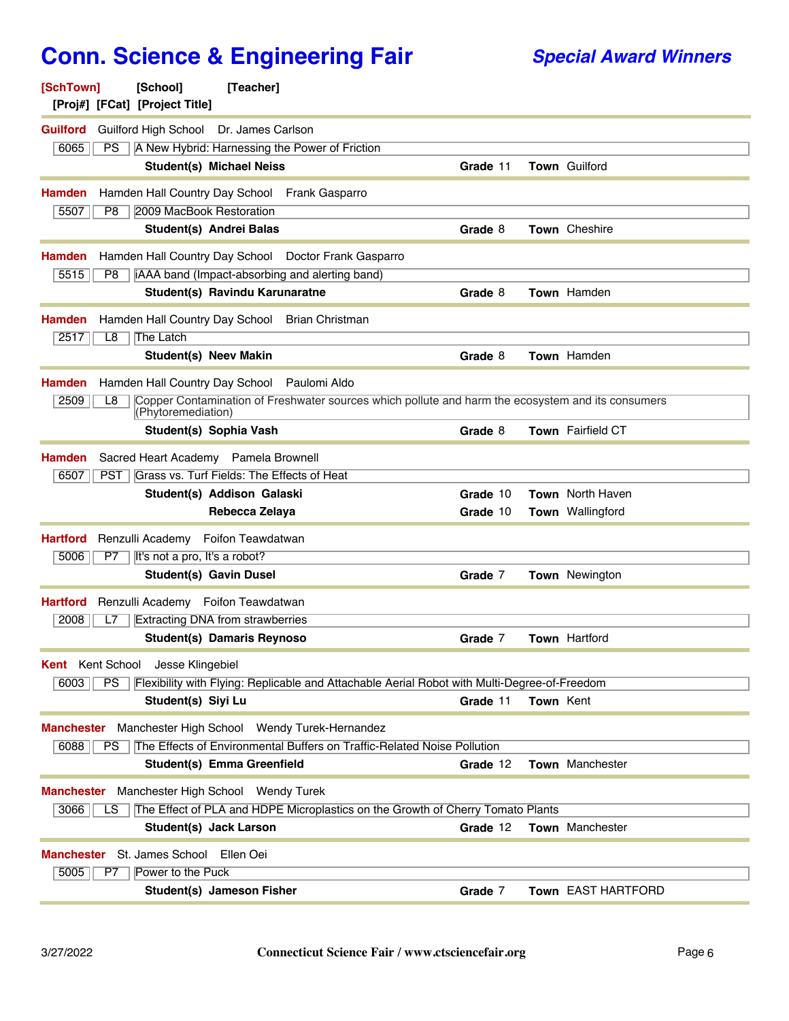| [SchTown]<br>[School]<br>[Teacher]<br>[Proj#] [FCat] [Project Title]                                                                  |                                      |
|---------------------------------------------------------------------------------------------------------------------------------------|--------------------------------------|
| <b>Guilford</b><br>Guilford High School Dr. James Carlson                                                                             |                                      |
| A New Hybrid: Harnessing the Power of Friction<br>6065<br>PS                                                                          |                                      |
| <b>Student(s) Michael Neiss</b>                                                                                                       | Town Guilford<br>Grade 11            |
| Hamden<br>Hamden Hall Country Day School<br><b>Frank Gasparro</b>                                                                     |                                      |
| 2009 MacBook Restoration<br>5507<br>P8                                                                                                |                                      |
| Student(s) Andrei Balas                                                                                                               | Town Cheshire<br>Grade 8             |
| Hamden<br>Hamden Hall Country Day School<br>Doctor Frank Gasparro                                                                     |                                      |
| 5515<br>iAAA band (Impact-absorbing and alerting band)<br>P8                                                                          |                                      |
| Student(s) Ravindu Karunaratne                                                                                                        | Town Hamden<br>Grade 8               |
| Hamden<br>Hamden Hall Country Day School<br><b>Brian Christman</b>                                                                    |                                      |
| 2517<br>L8<br>The Latch                                                                                                               |                                      |
| <b>Student(s) Neev Makin</b>                                                                                                          | Town Hamden<br>Grade 8               |
| Hamden Hall Country Day School<br>Paulomi Aldo<br>Hamden                                                                              |                                      |
| Copper Contamination of Freshwater sources which pollute and harm the ecosystem and its consumers<br>2509<br>L8<br>(Phytoremediation) |                                      |
| Student(s) Sophia Vash                                                                                                                | Town Fairfield CT<br>Grade 8         |
| Hamden<br>Sacred Heart Academy<br>Pamela Brownell                                                                                     |                                      |
| Grass vs. Turf Fields: The Effects of Heat<br>6507<br>PST                                                                             |                                      |
| Student(s) Addison Galaski                                                                                                            | Grade 10<br>Town North Haven         |
| Rebecca Zelaya                                                                                                                        | <b>Town</b> Wallingford<br>Grade 10  |
|                                                                                                                                       |                                      |
| Foifon Teawdatwan<br><b>Hartford</b><br>Renzulli Academy                                                                              |                                      |
| It's not a pro, It's a robot?<br>5006<br>P7                                                                                           |                                      |
| <b>Student(s) Gavin Dusel</b>                                                                                                         | Town Newington<br>Grade 7            |
| Renzulli Academy Foifon Teawdatwan<br><b>Hartford</b>                                                                                 |                                      |
| <b>Extracting DNA from strawberries</b><br>2008<br>L7                                                                                 |                                      |
| <b>Student(s) Damaris Reynoso</b>                                                                                                     | Town Hartford<br>Grade 7             |
| <b>Kent</b> Kent School<br>Jesse Klingebiel                                                                                           |                                      |
| PS<br>Flexibility with Flying: Replicable and Attachable Aerial Robot with Multi-Degree-of-Freedom<br>6003                            |                                      |
| Student(s) Siyi Lu                                                                                                                    | Grade 11<br><b>Town Kent</b>         |
| Manchester High School Wendy Turek-Hernandez<br>Manchester                                                                            |                                      |
| The Effects of Environmental Buffers on Traffic-Related Noise Pollution<br>6088<br>PS.                                                |                                      |
| Student(s) Emma Greenfield                                                                                                            | Town Manchester<br>Grade 12          |
| Manchester High School Wendy Turek<br>Manchester                                                                                      |                                      |
| 3066<br>The Effect of PLA and HDPE Microplastics on the Growth of Cherry Tomato Plants<br>LS                                          |                                      |
| Student(s) Jack Larson                                                                                                                | Town Manchester<br>Grade 12          |
| St. James School<br>Ellen Oei<br>Manchester                                                                                           |                                      |
| 5005<br>Power to the Puck<br>P7<br>Student(s) Jameson Fisher                                                                          | Grade 7<br><b>Town EAST HARTFORD</b> |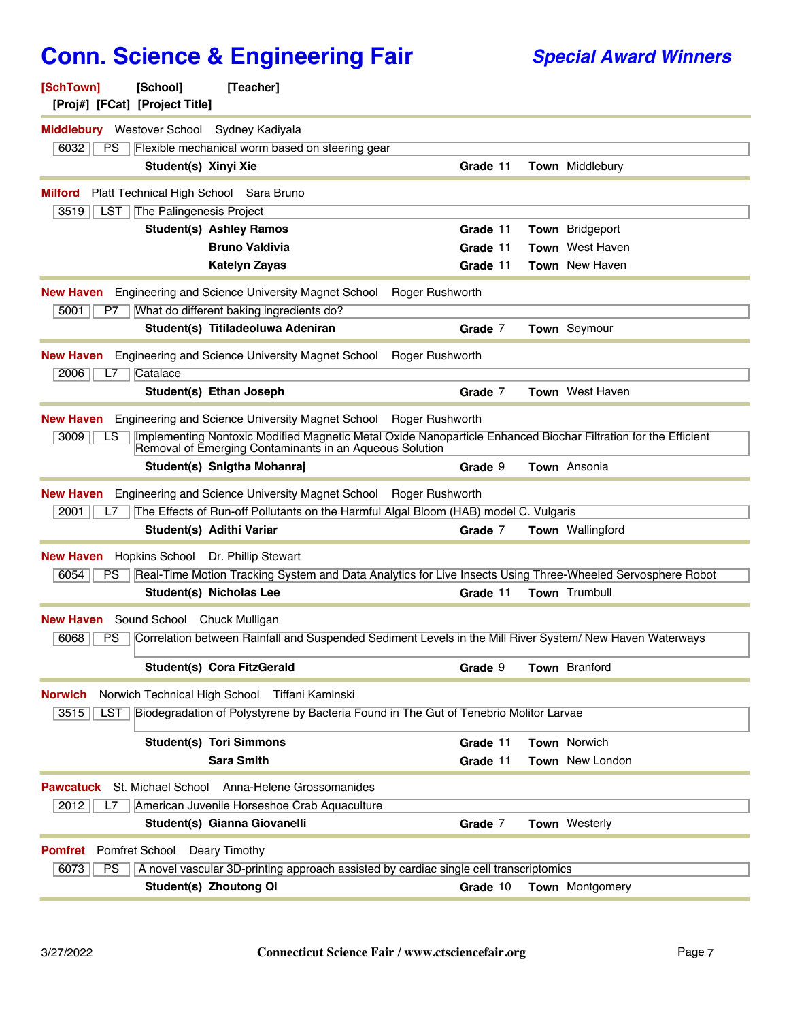| <b>SchTown</b><br><b>School</b><br> Teacher <br>[Proj#] [FCat] [Project Title]                                                                                                          |          |  |                         |  |  |
|-----------------------------------------------------------------------------------------------------------------------------------------------------------------------------------------|----------|--|-------------------------|--|--|
| <b>Middlebury</b> Westover School<br>Sydney Kadiyala                                                                                                                                    |          |  |                         |  |  |
| 6032<br><b>PS</b><br>Flexible mechanical worm based on steering gear                                                                                                                    |          |  |                         |  |  |
| Student(s) Xinyi Xie                                                                                                                                                                    | Grade 11 |  | Town Middlebury         |  |  |
| Platt Technical High School Sara Bruno<br><b>Milford</b>                                                                                                                                |          |  |                         |  |  |
| 3519<br>LST<br>The Palingenesis Project                                                                                                                                                 |          |  |                         |  |  |
| <b>Student(s) Ashley Ramos</b>                                                                                                                                                          | Grade 11 |  | Town Bridgeport         |  |  |
| <b>Bruno Valdivia</b>                                                                                                                                                                   | Grade 11 |  | <b>Town</b> West Haven  |  |  |
| Katelyn Zayas                                                                                                                                                                           | Grade 11 |  | <b>Town</b> New Haven   |  |  |
| <b>New Haven</b> Engineering and Science University Magnet School<br>Roger Rushworth<br>5001<br>What do different baking ingredients do?<br>P7                                          |          |  |                         |  |  |
| Student(s) Titiladeoluwa Adeniran                                                                                                                                                       | Grade 7  |  | <b>Town</b> Seymour     |  |  |
| <b>Engineering and Science University Magnet School</b><br>Roger Rushworth<br><b>New Haven</b>                                                                                          |          |  |                         |  |  |
| 2006<br>Catalace<br>L7                                                                                                                                                                  |          |  |                         |  |  |
| Student(s) Ethan Joseph                                                                                                                                                                 | Grade 7  |  | Town West Haven         |  |  |
| New Haven Engineering and Science University Magnet School Roger Rushworth                                                                                                              |          |  |                         |  |  |
| Implementing Nontoxic Modified Magnetic Metal Oxide Nanoparticle Enhanced Biochar Filtration for the Efficient<br>3009<br>LS<br>Removal of Emerging Contaminants in an Aqueous Solution |          |  |                         |  |  |
| Student(s) Snigtha Mohanraj                                                                                                                                                             | Grade 9  |  | Town Ansonia            |  |  |
| Engineering and Science University Magnet School Roger Rushworth<br>New Haven                                                                                                           |          |  |                         |  |  |
| The Effects of Run-off Pollutants on the Harmful Algal Bloom (HAB) model C. Vulgaris<br>2001<br>L7                                                                                      |          |  |                         |  |  |
| Student(s) Adithi Variar                                                                                                                                                                | Grade 7  |  | <b>Town</b> Wallingford |  |  |
| <b>New Haven</b><br>Hopkins School Dr. Phillip Stewart                                                                                                                                  |          |  |                         |  |  |
| Real-Time Motion Tracking System and Data Analytics for Live Insects Using Three-Wheeled Servosphere Robot<br>6054<br>PS                                                                |          |  |                         |  |  |
| <b>Student(s) Nicholas Lee</b>                                                                                                                                                          | Grade 11 |  | Town Trumbull           |  |  |
|                                                                                                                                                                                         |          |  |                         |  |  |
| Sound School Chuck Mulligan<br><b>New Haven</b>                                                                                                                                         |          |  |                         |  |  |
| 6068<br>Correlation between Rainfall and Suspended Sediment Levels in the Mill River System/ New Haven Waterways<br><b>PS</b>                                                           |          |  |                         |  |  |
| Student(s) Cora FitzGerald                                                                                                                                                              | Grade 9  |  | <b>Town</b> Branford    |  |  |
| Norwich Technical High School Tiffani Kaminski<br><b>Norwich</b>                                                                                                                        |          |  |                         |  |  |
| Biodegradation of Polystyrene by Bacteria Found in The Gut of Tenebrio Molitor Larvae<br>3515<br><b>LST</b>                                                                             |          |  |                         |  |  |
| <b>Student(s) Tori Simmons</b>                                                                                                                                                          | Grade 11 |  | Town Norwich            |  |  |
| <b>Sara Smith</b>                                                                                                                                                                       | Grade 11 |  | <b>Town</b> New London  |  |  |
| St. Michael School<br>Anna-Helene Grossomanides<br><b>Pawcatuck</b>                                                                                                                     |          |  |                         |  |  |
| American Juvenile Horseshoe Crab Aquaculture<br>2012<br>L7                                                                                                                              |          |  |                         |  |  |
| Student(s) Gianna Giovanelli                                                                                                                                                            | Grade 7  |  | Town Westerly           |  |  |
| Pomfret School<br>Deary Timothy<br><b>Pomfret</b>                                                                                                                                       |          |  |                         |  |  |
| A novel vascular 3D-printing approach assisted by cardiac single cell transcriptomics<br>6073<br><b>PS</b><br>Student(s) Zhoutong Qi                                                    | Grade 10 |  | Town Montgomery         |  |  |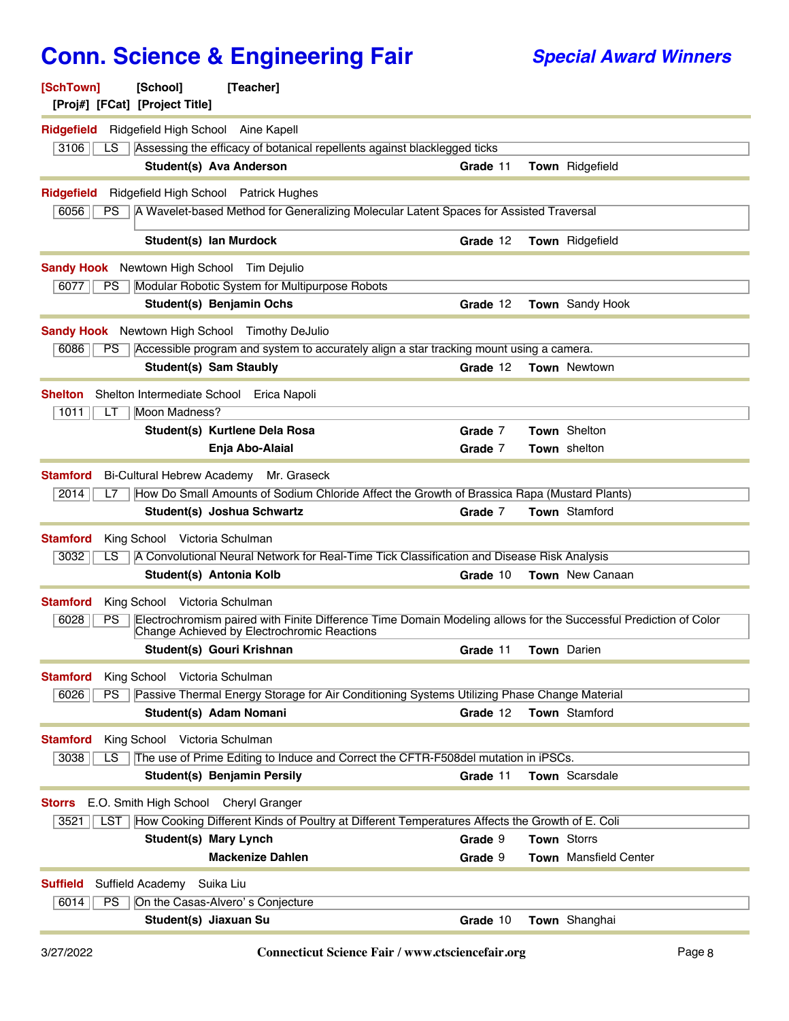| [SchTown]<br>[Proj#] [FCat] [Project Title]          | [School]                              | [Teacher]                                                                                                                                                       |                    |             |                              |
|------------------------------------------------------|---------------------------------------|-----------------------------------------------------------------------------------------------------------------------------------------------------------------|--------------------|-------------|------------------------------|
| <b>Ridgefield</b>                                    | Ridgefield High School Aine Kapell    |                                                                                                                                                                 |                    |             |                              |
| 3106<br>LS                                           |                                       | Assessing the efficacy of botanical repellents against blacklegged ticks                                                                                        |                    |             |                              |
|                                                      | Student(s) Ava Anderson               |                                                                                                                                                                 | Grade 11           |             | <b>Town</b> Ridgefield       |
| <b>Ridgefield</b><br>6056<br>PS.                     |                                       | Ridgefield High School Patrick Hughes<br>A Wavelet-based Method for Generalizing Molecular Latent Spaces for Assisted Traversal                                 |                    |             |                              |
|                                                      |                                       |                                                                                                                                                                 |                    |             |                              |
|                                                      | Student(s) Ian Murdock                |                                                                                                                                                                 | Grade 12           |             | <b>Town</b> Ridgefield       |
| <b>Sandy Hook</b> Newtown High School<br>6077<br>PS. |                                       | Tim Dejulio<br>Modular Robotic System for Multipurpose Robots                                                                                                   |                    |             |                              |
|                                                      | Student(s) Benjamin Ochs              |                                                                                                                                                                 | Grade 12           |             | <b>Town</b> Sandy Hook       |
|                                                      |                                       |                                                                                                                                                                 |                    |             |                              |
| 6086                                                 |                                       | <b>Sandy Hook</b> Newtown High School Timothy DeJulio                                                                                                           |                    |             |                              |
| PS.                                                  | Student(s) Sam Staubly                | Accessible program and system to accurately align a star tracking mount using a camera.                                                                         | Grade 12           |             | Town Newtown                 |
|                                                      |                                       |                                                                                                                                                                 |                    |             |                              |
| <b>Shelton</b>                                       |                                       | Shelton Intermediate School Erica Napoli                                                                                                                        |                    |             |                              |
| 1011<br>LT                                           | Moon Madness?                         |                                                                                                                                                                 |                    |             |                              |
|                                                      |                                       | Student(s) Kurtlene Dela Rosa<br>Enja Abo-Alaial                                                                                                                | Grade 7<br>Grade 7 |             | Town Shelton<br>Town shelton |
|                                                      |                                       |                                                                                                                                                                 |                    |             |                              |
| Stamford                                             |                                       | Bi-Cultural Hebrew Academy Mr. Graseck                                                                                                                          |                    |             |                              |
| 2014<br>L7                                           |                                       | How Do Small Amounts of Sodium Chloride Affect the Growth of Brassica Rapa (Mustard Plants)                                                                     |                    |             |                              |
|                                                      | Student(s) Joshua Schwartz            |                                                                                                                                                                 | Grade 7            |             | Town Stamford                |
| <b>Stamford</b>                                      | King School Victoria Schulman         |                                                                                                                                                                 |                    |             |                              |
| 3032<br>LS                                           |                                       | A Convolutional Neural Network for Real-Time Tick Classification and Disease Risk Analysis                                                                      |                    |             |                              |
|                                                      | Student(s) Antonia Kolb               |                                                                                                                                                                 | Grade 10           |             | Town New Canaan              |
| <b>Stamford</b>                                      | King School Victoria Schulman         |                                                                                                                                                                 |                    |             |                              |
| 6028<br>PS                                           |                                       | Electrochromism paired with Finite Difference Time Domain Modeling allows for the Successful Prediction of Color<br>Change Achieved by Electrochromic Reactions |                    |             |                              |
|                                                      | Student(s) Gouri Krishnan             |                                                                                                                                                                 | Grade 11           |             | <b>Town</b> Darien           |
| <b>Stamford</b>                                      | King School Victoria Schulman         |                                                                                                                                                                 |                    |             |                              |
| 6026<br>PS                                           |                                       | Passive Thermal Energy Storage for Air Conditioning Systems Utilizing Phase Change Material                                                                     |                    |             |                              |
|                                                      | Student(s) Adam Nomani                |                                                                                                                                                                 | Grade 12           |             | Town Stamford                |
| <b>Stamford</b>                                      | King School Victoria Schulman         |                                                                                                                                                                 |                    |             |                              |
| 3038<br>LS                                           |                                       | The use of Prime Editing to Induce and Correct the CFTR-F508del mutation in iPSCs.                                                                              |                    |             |                              |
|                                                      | <b>Student(s) Benjamin Persily</b>    |                                                                                                                                                                 | Grade 11           |             | <b>Town</b> Scarsdale        |
| <b>Storrs</b>                                        | E.O. Smith High School Cheryl Granger |                                                                                                                                                                 |                    |             |                              |
| 3521<br><b>LST</b>                                   |                                       | How Cooking Different Kinds of Poultry at Different Temperatures Affects the Growth of E. Coli                                                                  |                    |             |                              |
|                                                      | <b>Student(s) Mary Lynch</b>          |                                                                                                                                                                 | Grade 9            | Town Storrs |                              |
|                                                      |                                       | <b>Mackenize Dahlen</b>                                                                                                                                         | Grade 9            |             | <b>Town</b> Mansfield Center |
| <b>Suffield</b>                                      | Suffield Academy Suika Liu            |                                                                                                                                                                 |                    |             |                              |
| 6014<br><b>PS</b>                                    | On the Casas-Alvero's Conjecture      |                                                                                                                                                                 |                    |             |                              |
|                                                      | Student(s) Jiaxuan Su                 |                                                                                                                                                                 | Grade 10           |             | Town Shanghai                |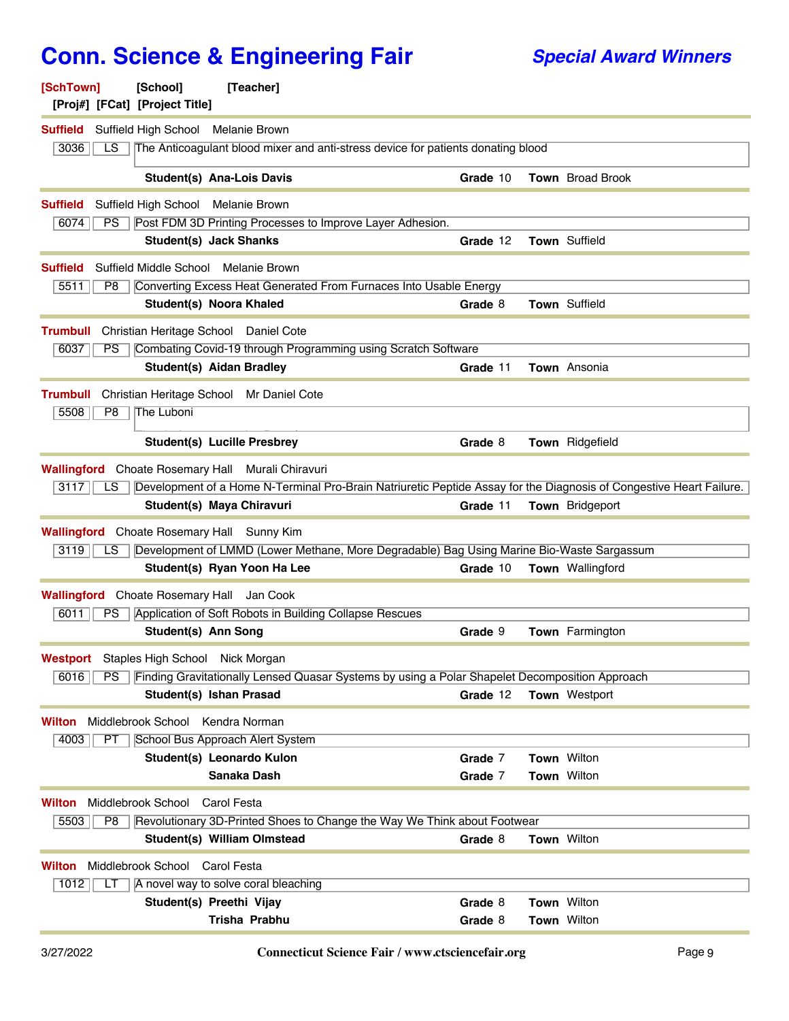| [SchTown]<br>[Proj#] [FCat] [Project Title]       | [School]                             | [Teacher]                                                                                                           |          |                      |
|---------------------------------------------------|--------------------------------------|---------------------------------------------------------------------------------------------------------------------|----------|----------------------|
| <b>Suffield</b>                                   | Suffield High School Melanie Brown   |                                                                                                                     |          |                      |
| 3036<br>LS.                                       |                                      | The Anticoagulant blood mixer and anti-stress device for patients donating blood                                    |          |                      |
|                                                   | <b>Student(s) Ana-Lois Davis</b>     |                                                                                                                     | Grade 10 | Town Broad Brook     |
| <b>Suffield</b>                                   | Suffield High School Melanie Brown   |                                                                                                                     |          |                      |
| 6074<br>PS                                        |                                      | Post FDM 3D Printing Processes to Improve Layer Adhesion.                                                           |          |                      |
|                                                   | <b>Student(s) Jack Shanks</b>        |                                                                                                                     | Grade 12 | Town Suffield        |
| <b>Suffield</b>                                   | Suffield Middle School Melanie Brown |                                                                                                                     |          |                      |
| 5511<br>P8                                        | Student(s) Noora Khaled              | Converting Excess Heat Generated From Furnaces Into Usable Energy                                                   | Grade 8  | Town Suffield        |
|                                                   |                                      |                                                                                                                     |          |                      |
| <b>Trumbull</b>                                   |                                      | Christian Heritage School Daniel Cote                                                                               |          |                      |
| 6037<br><b>PS</b>                                 | <b>Student(s) Aidan Bradley</b>      | Combating Covid-19 through Programming using Scratch Software                                                       | Grade 11 | Town Ansonia         |
|                                                   |                                      |                                                                                                                     |          |                      |
| <b>Trumbull</b>                                   |                                      | Christian Heritage School Mr Daniel Cote                                                                            |          |                      |
| 5508<br>P8                                        | The Luboni                           |                                                                                                                     |          |                      |
|                                                   |                                      | <b>Student(s) Lucille Presbrey</b>                                                                                  | Grade 8  | Town Ridgefield      |
|                                                   |                                      | <b>Wallingford</b> Choate Rosemary Hall Murali Chiravuri                                                            |          |                      |
| 3117<br>LS.                                       |                                      | Development of a Home N-Terminal Pro-Brain Natriuretic Peptide Assay for the Diagnosis of Congestive Heart Failure. |          |                      |
|                                                   | Student(s) Maya Chiravuri            |                                                                                                                     | Grade 11 | Town Bridgeport      |
| <b>Wallingford</b> Choate Rosemary Hall Sunny Kim |                                      |                                                                                                                     |          |                      |
| 3119<br>LS.                                       |                                      | Development of LMMD (Lower Methane, More Degradable) Bag Using Marine Bio-Waste Sargassum                           |          |                      |
|                                                   |                                      | Student(s) Ryan Yoon Ha Lee                                                                                         | Grade 10 | Town Wallingford     |
| Wallingford Choate Rosemary Hall Jan Cook         |                                      |                                                                                                                     |          |                      |
| 6011<br><b>PS</b>                                 |                                      | Application of Soft Robots in Building Collapse Rescues                                                             |          |                      |
|                                                   | Student(s) Ann Song                  |                                                                                                                     | Grade 9  | Town Farmington      |
| <b>Westport</b>                                   | Staples High School Nick Morgan      |                                                                                                                     |          |                      |
| 6016<br>PS                                        |                                      | Finding Gravitationally Lensed Quasar Systems by using a Polar Shapelet Decomposition Approach                      |          |                      |
|                                                   | Student(s) Ishan Prasad              |                                                                                                                     | Grade 12 | <b>Town Westport</b> |
| Wilton                                            | Middlebrook School Kendra Norman     |                                                                                                                     |          |                      |
| 4003<br>PT                                        |                                      | School Bus Approach Alert System                                                                                    |          |                      |
|                                                   |                                      | Student(s) Leonardo Kulon                                                                                           | Grade 7  | Town Wilton          |
|                                                   |                                      | Sanaka Dash                                                                                                         | Grade 7  | Town Wilton          |
| Wilton                                            | Middlebrook School                   | Carol Festa                                                                                                         |          |                      |
| 5503<br>P <sub>8</sub>                            |                                      | Revolutionary 3D-Printed Shoes to Change the Way We Think about Footwear                                            |          |                      |
|                                                   |                                      | Student(s) William Olmstead                                                                                         | Grade 8  | Town Wilton          |
| Wilton                                            | Middlebrook School Carol Festa       |                                                                                                                     |          |                      |
| 1012<br>LТ                                        |                                      | A novel way to solve coral bleaching                                                                                |          |                      |
|                                                   | Student(s) Preethi Vijay             |                                                                                                                     | Grade 8  | Town Wilton          |
|                                                   |                                      | Trisha Prabhu                                                                                                       | Grade 8  | Town Wilton          |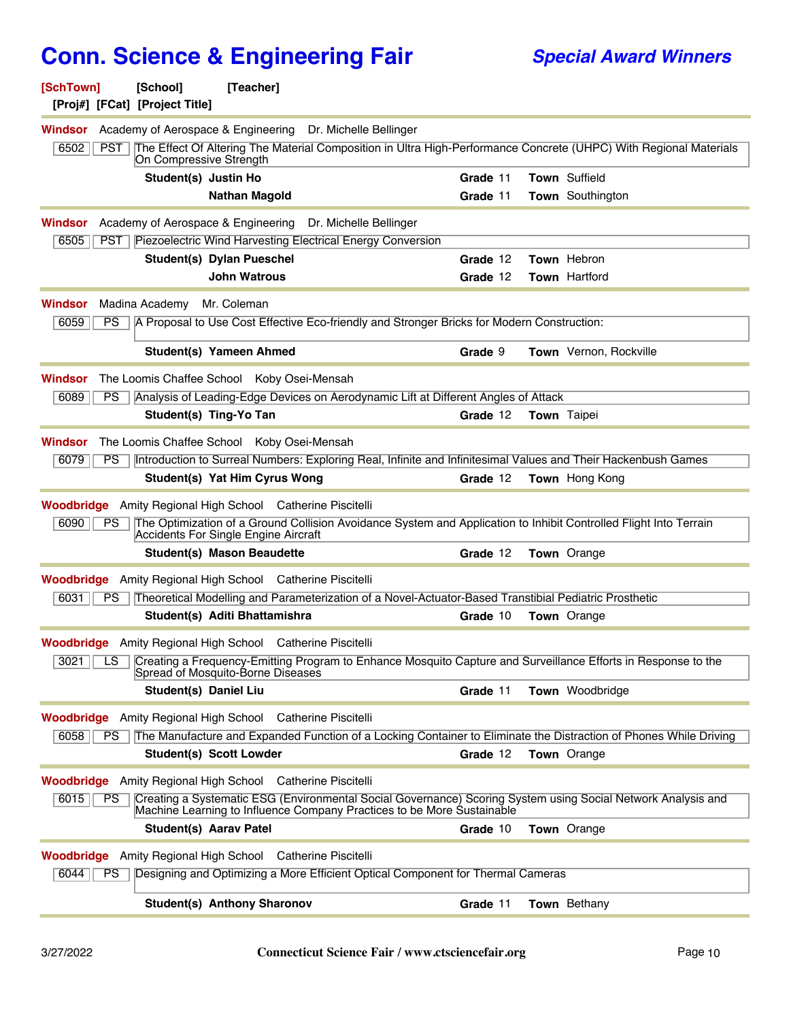| [SchTown]                                                         | [School]<br>[Proj#] [FCat] [Project Title] | [Teacher]                                  |                                                                          |                                                                                                       |                                                                                                                   |
|-------------------------------------------------------------------|--------------------------------------------|--------------------------------------------|--------------------------------------------------------------------------|-------------------------------------------------------------------------------------------------------|-------------------------------------------------------------------------------------------------------------------|
|                                                                   |                                            |                                            | <b>Windsor</b> Academy of Aerospace & Engineering Dr. Michelle Bellinger |                                                                                                       |                                                                                                                   |
| 6502<br>PST                                                       | On Compressive Strength                    |                                            |                                                                          |                                                                                                       | The Effect Of Altering The Material Composition in Ultra High-Performance Concrete (UHPC) With Regional Materials |
|                                                                   | Student(s) Justin Ho                       |                                            |                                                                          | Grade 11                                                                                              | Town Suffield                                                                                                     |
|                                                                   |                                            | <b>Nathan Magold</b>                       |                                                                          | Grade 11                                                                                              | Town Southington                                                                                                  |
| Windsor                                                           |                                            |                                            | Academy of Aerospace & Engineering Dr. Michelle Bellinger                |                                                                                                       |                                                                                                                   |
| 6505<br><b>PST</b>                                                |                                            | Student(s) Dylan Pueschel                  | Piezoelectric Wind Harvesting Electrical Energy Conversion               | Grade 12                                                                                              | Town Hebron                                                                                                       |
|                                                                   |                                            | <b>John Watrous</b>                        |                                                                          | Grade 12                                                                                              | <b>Town Hartford</b>                                                                                              |
|                                                                   |                                            |                                            |                                                                          |                                                                                                       |                                                                                                                   |
| <b>Windsor</b><br>6059<br><b>PS</b>                               | Madina Academy                             | Mr. Coleman                                |                                                                          | A Proposal to Use Cost Effective Eco-friendly and Stronger Bricks for Modern Construction:            |                                                                                                                   |
|                                                                   |                                            | <b>Student(s) Yameen Ahmed</b>             |                                                                          | Grade 9                                                                                               | Town Vernon, Rockville                                                                                            |
| <b>Windsor</b>                                                    |                                            | The Loomis Chaffee School Koby Osei-Mensah |                                                                          |                                                                                                       |                                                                                                                   |
| 6089<br>PS.                                                       | Student(s) Ting-Yo Tan                     |                                            |                                                                          | Analysis of Leading-Edge Devices on Aerodynamic Lift at Different Angles of Attack<br>Grade 12        |                                                                                                                   |
|                                                                   |                                            |                                            |                                                                          |                                                                                                       | Town Taipei                                                                                                       |
| Windsor                                                           |                                            | The Loomis Chaffee School Koby Osei-Mensah |                                                                          |                                                                                                       |                                                                                                                   |
| 6079<br>PS                                                        |                                            |                                            |                                                                          |                                                                                                       | Introduction to Surreal Numbers: Exploring Real, Infinite and Infinitesimal Values and Their Hackenbush Games     |
|                                                                   |                                            | Student(s) Yat Him Cyrus Wong              |                                                                          | Grade 12                                                                                              | <b>Town</b> Hong Kong                                                                                             |
| <b>Woodbridge</b> Amity Regional High School Catherine Piscitelli |                                            |                                            |                                                                          |                                                                                                       |                                                                                                                   |
| 6090<br><b>PS</b>                                                 |                                            | Accidents For Single Engine Aircraft       |                                                                          |                                                                                                       | The Optimization of a Ground Collision Avoidance System and Application to Inhibit Controlled Flight Into Terrain |
|                                                                   |                                            | <b>Student(s) Mason Beaudette</b>          |                                                                          | Grade 12                                                                                              | Town Orange                                                                                                       |
| <b>Woodbridge</b> Amity Regional High School Catherine Piscitelli |                                            |                                            |                                                                          |                                                                                                       |                                                                                                                   |
| 6031<br>PS.                                                       |                                            |                                            |                                                                          | Theoretical Modelling and Parameterization of a Novel-Actuator-Based Transtibial Pediatric Prosthetic |                                                                                                                   |
|                                                                   |                                            | Student(s) Aditi Bhattamishra              |                                                                          | Grade 10                                                                                              | <b>Town</b> Orange                                                                                                |
| <b>Woodbridge</b> Amity Regional High School Catherine Piscitelli |                                            |                                            |                                                                          |                                                                                                       |                                                                                                                   |
| 3021<br>LS                                                        |                                            | Spread of Mosquito-Borne Diseases          |                                                                          |                                                                                                       | Creating a Frequency-Emitting Program to Enhance Mosquito Capture and Surveillance Efforts in Response to the     |
|                                                                   | <b>Student(s) Daniel Liu</b>               |                                            |                                                                          | Grade 11                                                                                              | Town Woodbridge                                                                                                   |
| <b>Woodbridge</b> Amity Regional High School Catherine Piscitelli |                                            |                                            |                                                                          |                                                                                                       |                                                                                                                   |
| 6058<br>PS.                                                       |                                            |                                            |                                                                          |                                                                                                       | The Manufacture and Expanded Function of a Locking Container to Eliminate the Distraction of Phones While Driving |
|                                                                   | <b>Student(s) Scott Lowder</b>             |                                            |                                                                          | Grade 12                                                                                              | Town Orange                                                                                                       |
| <b>Woodbridge</b> Amity Regional High School Catherine Piscitelli |                                            |                                            |                                                                          |                                                                                                       |                                                                                                                   |
| 6015<br><b>PS</b>                                                 |                                            |                                            |                                                                          | Machine Learning to Influence Company Practices to be More Sustainable                                | Creating a Systematic ESG (Environmental Social Governance) Scoring System using Social Network Analysis and      |
|                                                                   | <b>Student(s) Aarav Patel</b>              |                                            |                                                                          | Grade 10                                                                                              | <b>Town</b> Orange                                                                                                |
| <b>Woodbridge</b> Amity Regional High School Catherine Piscitelli |                                            |                                            |                                                                          |                                                                                                       |                                                                                                                   |
| 6044<br>PS                                                        |                                            |                                            |                                                                          | Designing and Optimizing a More Efficient Optical Component for Thermal Cameras                       |                                                                                                                   |
|                                                                   |                                            | <b>Student(s) Anthony Sharonov</b>         |                                                                          | Grade 11                                                                                              | Town Bethany                                                                                                      |